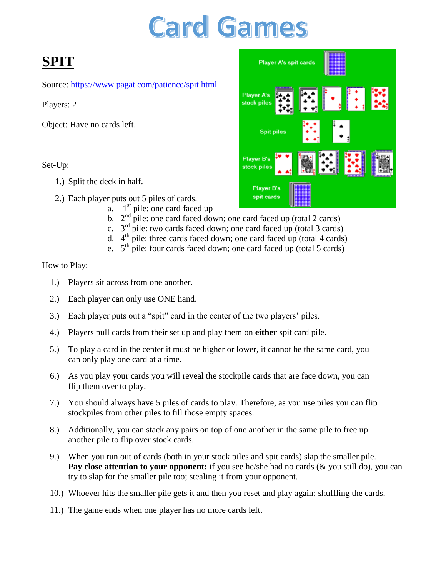# **Card Games**

# **SPIT**

Source: <https://www.pagat.com/patience/spit.html>

Players: 2

Object: Have no cards left.

Set-Up:

- 1.) Split the deck in half.
- 2.) Each player puts out 5 piles of cards.
	- $a.$  1<sup>st</sup> pile: one card faced up
	- b.  $2<sup>nd</sup>$  pile: one card faced down; one card faced up (total 2 cards)
	- c.  $3<sup>rd</sup>$  pile: two cards faced down; one card faced up (total 3 cards)
	- d. 4<sup>th</sup> pile: three cards faced down; one card faced up (total 4 cards)
	- e.  $5<sup>th</sup>$  pile: four cards faced down; one card faced up (total 5 cards)

- 1.) Players sit across from one another.
- 2.) Each player can only use ONE hand.
- 3.) Each player puts out a "spit" card in the center of the two players' piles.
- 4.) Players pull cards from their set up and play them on **either** spit card pile.
- 5.) To play a card in the center it must be higher or lower, it cannot be the same card, you can only play one card at a time.
- 6.) As you play your cards you will reveal the stockpile cards that are face down, you can flip them over to play.
- 7.) You should always have 5 piles of cards to play. Therefore, as you use piles you can flip stockpiles from other piles to fill those empty spaces.
- 8.) Additionally, you can stack any pairs on top of one another in the same pile to free up another pile to flip over stock cards.
- 9.) When you run out of cards (both in your stock piles and spit cards) slap the smaller pile. **Pay close attention to your opponent;** if you see he/she had no cards (& you still do), you can try to slap for the smaller pile too; stealing it from your opponent.
- 10.) Whoever hits the smaller pile gets it and then you reset and play again; shuffling the cards.
- 11.) The game ends when one player has no more cards left.

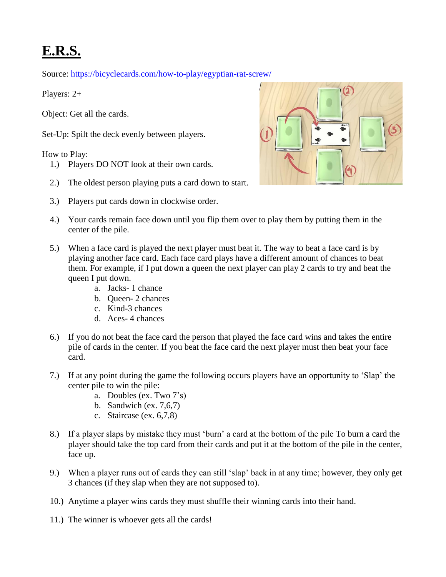# **E.R.S.**

Source: <https://bicyclecards.com/how-to-play/egyptian-rat-screw/>

Players: 2+

Object: Get all the cards.

Set-Up: Spilt the deck evenly between players.

- 1.) Players DO NOT look at their own cards.
- 2.) The oldest person playing puts a card down to start.
- 3.) Players put cards down in clockwise order.



- 4.) Your cards remain face down until you flip them over to play them by putting them in the center of the pile.
- 5.) When a face card is played the next player must beat it. The way to beat a face card is by playing another face card. Each face card plays have a different amount of chances to beat them. For example, if I put down a queen the next player can play 2 cards to try and beat the queen I put down.
	- a. Jacks- 1 chance
	- b. Queen- 2 chances
	- c. Kind-3 chances
	- d. Aces- 4 chances
- 6.) If you do not beat the face card the person that played the face card wins and takes the entire pile of cards in the center. If you beat the face card the next player must then beat your face card.
- 7.) If at any point during the game the following occurs players have an opportunity to "Slap" the center pile to win the pile:
	- a. Doubles (ex. Two 7"s)
	- b. Sandwich (ex. 7,6,7)
	- c. Staircase (ex. 6,7,8)
- 8.) If a player slaps by mistake they must "burn" a card at the bottom of the pile To burn a card the player should take the top card from their cards and put it at the bottom of the pile in the center, face up.
- 9.) When a player runs out of cards they can still "slap" back in at any time; however, they only get 3 chances (if they slap when they are not supposed to).
- 10.) Anytime a player wins cards they must shuffle their winning cards into their hand.
- 11.) The winner is whoever gets all the cards!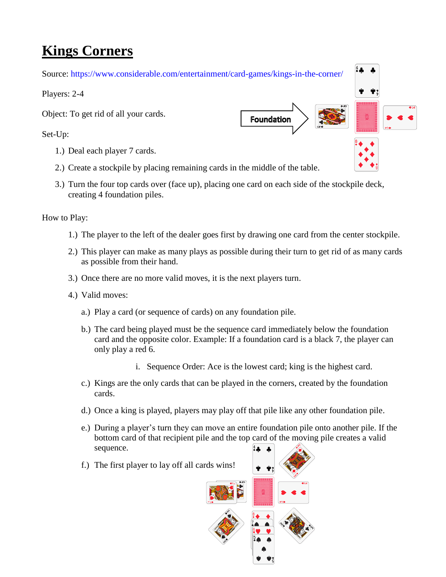## **Kings Corners**

Source:<https://www.considerable.com/entertainment/card-games/kings-in-the-corner/>

Players: 2-4

Object: To get rid of all your cards.

Set-Up:

- 1.) Deal each player 7 cards.
- 2.) Create a stockpile by placing remaining cards in the middle of the table.
- 3.) Turn the four top cards over (face up), placing one card on each side of the stockpile deck, creating 4 foundation piles.

- 1.) The player to the left of the dealer goes first by drawing one card from the center stockpile.
- 2.) This player can make as many plays as possible during their turn to get rid of as many cards as possible from their hand.
- 3.) Once there are no more valid moves, it is the next players turn.
- 4.) Valid moves:
	- a.) Play a card (or sequence of cards) on any foundation pile.
	- b.) The card being played must be the sequence card immediately below the foundation card and the opposite color. Example: If a foundation card is a black 7, the player can only play a red 6.
		- i. Sequence Order: Ace is the lowest card; king is the highest card.
	- c.) Kings are the only cards that can be played in the corners, created by the foundation cards.
	- d.) Once a king is played, players may play off that pile like any other foundation pile.
	- e.) During a player"s turn they can move an entire foundation pile onto another pile. If the bottom card of that recipient pile and the top card of the moving pile creates a valid sequence.
	- f.) The first player to lay off all cards wins!



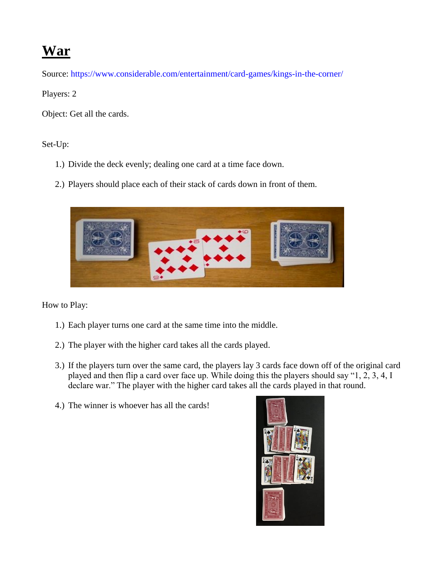### **War**

Source:<https://www.considerable.com/entertainment/card-games/kings-in-the-corner/>

Players: 2

Object: Get all the cards.

Set-Up:

- 1.) Divide the deck evenly; dealing one card at a time face down.
- 2.) Players should place each of their stack of cards down in front of them.



- 1.) Each player turns one card at the same time into the middle.
- 2.) The player with the higher card takes all the cards played.
- 3.) If the players turn over the same card, the players lay 3 cards face down off of the original card played and then flip a card over face up. While doing this the players should say "1, 2, 3, 4, I declare war." The player with the higher card takes all the cards played in that round.
- 4.) The winner is whoever has all the cards!

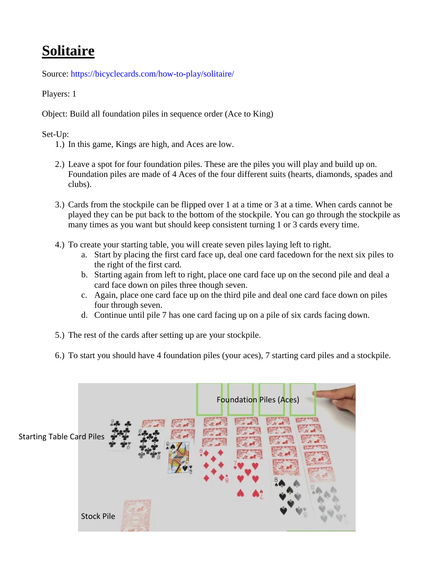# **Solitaire**

Source:<https://bicyclecards.com/how-to-play/solitaire/>

Players: 1

Object: Build all foundation piles in sequence order (Ace to King)

#### Set-Up:

- 1.) In this game, Kings are high, and Aces are low.
- 2.) Leave a spot for four foundation piles. These are the piles you will play and build up on. Foundation piles are made of 4 Aces of the four different suits (hearts, diamonds, spades and clubs).
- 3.) Cards from the stockpile can be flipped over 1 at a time or 3 at a time. When cards cannot be played they can be put back to the bottom of the stockpile. You can go through the stockpile as many times as you want but should keep consistent turning 1 or 3 cards every time.
- 4.) To create your starting table, you will create seven piles laying left to right.
	- a. Start by placing the first card face up, deal one card facedown for the next six piles to the right of the first card.
	- b. Starting again from left to right, place one card face up on the second pile and deal a card face down on piles three though seven.
	- c. Again, place one card face up on the third pile and deal one card face down on piles four through seven.
	- d. Continue until pile 7 has one card facing up on a pile of six cards facing down.
- 5.) The rest of the cards after setting up are your stockpile.
- 6.) To start you should have 4 foundation piles (your aces), 7 starting card piles and a stockpile.

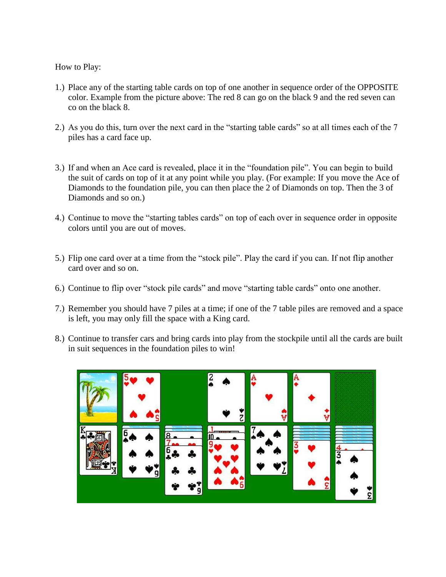- 1.) Place any of the starting table cards on top of one another in sequence order of the OPPOSITE color. Example from the picture above: The red 8 can go on the black 9 and the red seven can co on the black 8.
- 2.) As you do this, turn over the next card in the "starting table cards" so at all times each of the 7 piles has a card face up.
- 3.) If and when an Ace card is revealed, place it in the "foundation pile". You can begin to build the suit of cards on top of it at any point while you play. (For example: If you move the Ace of Diamonds to the foundation pile, you can then place the 2 of Diamonds on top. Then the 3 of Diamonds and so on.)
- 4.) Continue to move the "starting tables cards" on top of each over in sequence order in opposite colors until you are out of moves.
- 5.) Flip one card over at a time from the "stock pile". Play the card if you can. If not flip another card over and so on.
- 6.) Continue to flip over "stock pile cards" and move "starting table cards" onto one another.
- 7.) Remember you should have 7 piles at a time; if one of the 7 table piles are removed and a space is left, you may only fill the space with a King card.
- 8.) Continue to transfer cars and bring cards into play from the stockpile until all the cards are built in suit sequences in the foundation piles to win!

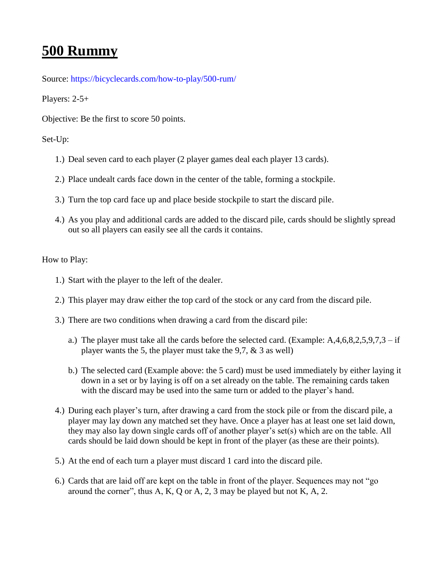### **500 Rummy**

Source:<https://bicyclecards.com/how-to-play/500-rum/>

Players: 2-5+

Objective: Be the first to score 50 points.

#### Set-Up:

- 1.) Deal seven card to each player (2 player games deal each player 13 cards).
- 2.) Place undealt cards face down in the center of the table, forming a stockpile.
- 3.) Turn the top card face up and place beside stockpile to start the discard pile.
- 4.) As you play and additional cards are added to the discard pile, cards should be slightly spread out so all players can easily see all the cards it contains.

- 1.) Start with the player to the left of the dealer.
- 2.) This player may draw either the top card of the stock or any card from the discard pile.
- 3.) There are two conditions when drawing a card from the discard pile:
	- a.) The player must take all the cards before the selected card. (Example:  $A, 4, 6, 8, 2, 5, 9, 7, 3$  if player wants the 5, the player must take the 9,7, & 3 as well)
	- b.) The selected card (Example above: the 5 card) must be used immediately by either laying it down in a set or by laying is off on a set already on the table. The remaining cards taken with the discard may be used into the same turn or added to the player's hand.
- 4.) During each player"s turn, after drawing a card from the stock pile or from the discard pile, a player may lay down any matched set they have. Once a player has at least one set laid down, they may also lay down single cards off of another player"s set(s) which are on the table. All cards should be laid down should be kept in front of the player (as these are their points).
- 5.) At the end of each turn a player must discard 1 card into the discard pile.
- 6.) Cards that are laid off are kept on the table in front of the player. Sequences may not "go around the corner", thus  $A, K, Q$  or  $A, 2, 3$  may be played but not  $K, A, 2$ .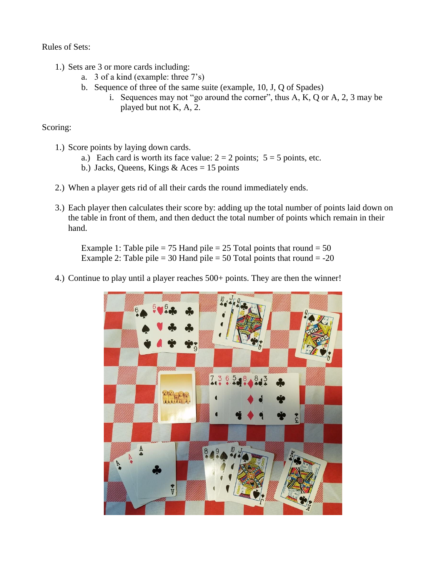Rules of Sets:

- 1.) Sets are 3 or more cards including:
	- a. 3 of a kind (example: three 7"s)
	- b. Sequence of three of the same suite (example, 10, J, Q of Spades)
		- i. Sequences may not "go around the corner", thus A, K, Q or A, 2, 3 may be played but not K, A, 2.

Scoring:

- 1.) Score points by laying down cards.
	- a.) Each card is worth its face value:  $2 = 2$  points;  $5 = 5$  points, etc.
	- b.) Jacks, Queens, Kings  $& Aces = 15 \text{ points}$
- 2.) When a player gets rid of all their cards the round immediately ends.
- 3.) Each player then calculates their score by: adding up the total number of points laid down on the table in front of them, and then deduct the total number of points which remain in their hand.

Example 1: Table pile = 75 Hand pile = 25 Total points that round = 50 Example 2: Table pile  $= 30$  Hand pile  $= 50$  Total points that round  $= -20$ 

4.) Continue to play until a player reaches 500+ points. They are then the winner!

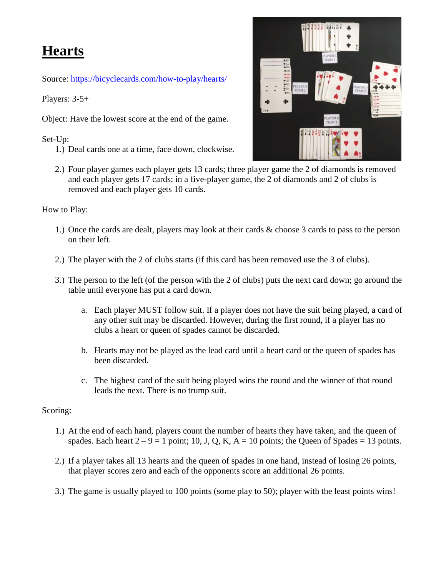### **Hearts**

Source:<https://bicyclecards.com/how-to-play/hearts/>

Players: 3-5+

Object: Have the lowest score at the end of the game.

Set-Up:

1.) Deal cards one at a time, face down, clockwise.



2.) Four player games each player gets 13 cards; three player game the 2 of diamonds is removed and each player gets 17 cards; in a five-player game, the 2 of diamonds and 2 of clubs is removed and each player gets 10 cards.

#### How to Play:

- 1.) Once the cards are dealt, players may look at their cards & choose 3 cards to pass to the person on their left.
- 2.) The player with the 2 of clubs starts (if this card has been removed use the 3 of clubs).
- 3.) The person to the left (of the person with the 2 of clubs) puts the next card down; go around the table until everyone has put a card down.
	- a. Each player MUST follow suit. If a player does not have the suit being played, a card of any other suit may be discarded. However, during the first round, if a player has no clubs a heart or queen of spades cannot be discarded.
	- b. Hearts may not be played as the lead card until a heart card or the queen of spades has been discarded.
	- c. The highest card of the suit being played wins the round and the winner of that round leads the next. There is no trump suit.

#### Scoring:

- 1.) At the end of each hand, players count the number of hearts they have taken, and the queen of spades. Each heart  $2 - 9 = 1$  point; 10, J, Q, K, A = 10 points; the Queen of Spades = 13 points.
- 2.) If a player takes all 13 hearts and the queen of spades in one hand, instead of losing 26 points, that player scores zero and each of the opponents score an additional 26 points.
- 3.) The game is usually played to 100 points (some play to 50); player with the least points wins!